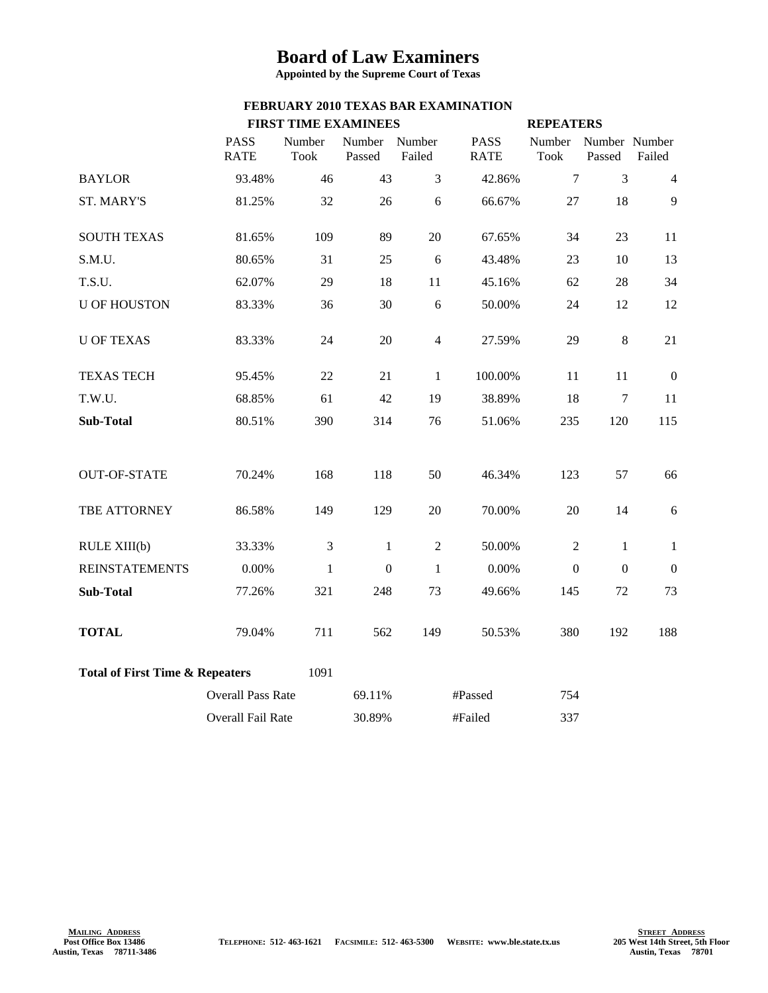## **Board of Law Examiners**

**Appointed by the Supreme Court of Texas**

## **FEBRUARY 2010 TEXAS BAR EXAMINATION**

|                                            |                            | <b>FIRST TIME EXAMINEES</b> |                  |                  |                            | <b>REPEATERS</b>      |                         |                  |
|--------------------------------------------|----------------------------|-----------------------------|------------------|------------------|----------------------------|-----------------------|-------------------------|------------------|
|                                            | <b>PASS</b><br><b>RATE</b> | Number<br><b>Took</b>       | Number<br>Passed | Number<br>Failed | <b>PASS</b><br><b>RATE</b> | Number<br><b>Took</b> | Number Number<br>Passed | Failed           |
| <b>BAYLOR</b>                              | 93.48%                     | 46                          | 43               | $\overline{3}$   | 42.86%                     | $\tau$                | 3                       | 4                |
| <b>ST. MARY'S</b>                          | 81.25%                     | 32                          | 26               | 6                | 66.67%                     | 27                    | 18                      | 9                |
| <b>SOUTH TEXAS</b>                         | 81.65%                     | 109                         | 89               | 20               | 67.65%                     | 34                    | 23                      | 11               |
| S.M.U.                                     | 80.65%                     | 31                          | 25               | 6                | 43.48%                     | 23                    | 10                      | 13               |
| T.S.U.                                     | 62.07%                     | 29                          | 18               | 11               | 45.16%                     | 62                    | 28                      | 34               |
| <b>U OF HOUSTON</b>                        | 83.33%                     | 36                          | 30               | 6                | 50.00%                     | 24                    | 12                      | 12               |
| <b>U OF TEXAS</b>                          | 83.33%                     | 24                          | 20               | $\overline{4}$   | 27.59%                     | 29                    | $\,8\,$                 | 21               |
| <b>TEXAS TECH</b>                          | 95.45%                     | 22                          | 21               | $\mathbf{1}$     | 100.00%                    | 11                    | 11                      | $\boldsymbol{0}$ |
| T.W.U.                                     | 68.85%                     | 61                          | 42               | 19               | 38.89%                     | 18                    | $\overline{7}$          | 11               |
| Sub-Total                                  | 80.51%                     | 390                         | 314              | 76               | 51.06%                     | 235                   | 120                     | 115              |
| <b>OUT-OF-STATE</b>                        | 70.24%                     | 168                         | 118              | 50               | 46.34%                     | 123                   | 57                      | 66               |
| TBE ATTORNEY                               | 86.58%                     | 149                         | 129              | 20               | 70.00%                     | 20                    | 14                      | 6                |
| RULE XIII(b)                               | 33.33%                     | $\mathfrak{Z}$              | 1                | $\overline{2}$   | 50.00%                     | $\overline{2}$        | 1                       | 1                |
| <b>REINSTATEMENTS</b>                      | 0.00%                      | $\mathbf{1}$                | $\mathbf{0}$     | $\mathbf{1}$     | 0.00%                      | $\mathbf{0}$          | $\mathbf{0}$            | $\boldsymbol{0}$ |
| Sub-Total                                  | 77.26%                     | 321                         | 248              | 73               | 49.66%                     | 145                   | 72                      | 73               |
| <b>TOTAL</b>                               | 79.04%                     | 711                         | 562              | 149              | 50.53%                     | 380                   | 192                     | 188              |
| <b>Total of First Time &amp; Repeaters</b> |                            | 1091                        |                  |                  |                            |                       |                         |                  |
|                                            | <b>Overall Pass Rate</b>   |                             | 69.11%           |                  | #Passed                    | 754                   |                         |                  |
|                                            | Overall Fail Rate          |                             | 30.89%           |                  | #Failed                    | 337                   |                         |                  |